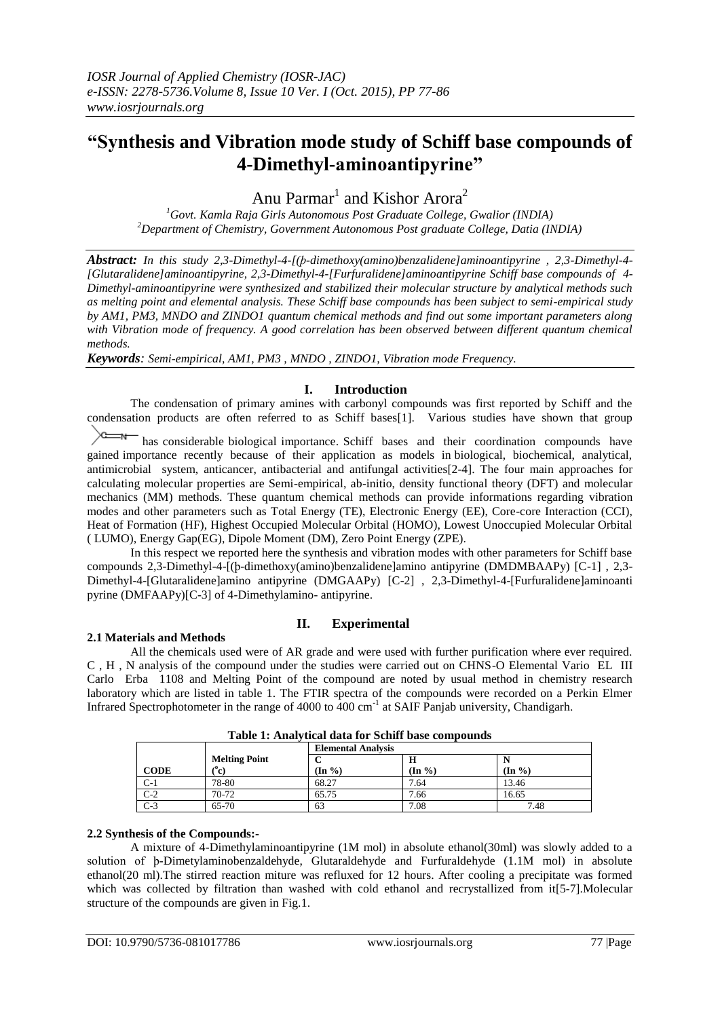# **"Synthesis and Vibration mode study of Schiff base compounds of 4-Dimethyl-aminoantipyrine"**

Anu Parmar<sup>1</sup> and Kishor Arora<sup>2</sup>

*<sup>1</sup>Govt. Kamla Raja Girls Autonomous Post Graduate College, Gwalior (INDIA) <sup>2</sup>Department of Chemistry, Government Autonomous Post graduate College, Datia (INDIA)*

*Abstract: In this study 2,3-Dimethyl-4-[(ϸ-dimethoxy(amino)benzalidene]aminoantipyrine , 2,3-Dimethyl-4- [Glutaralidene]aminoantipyrine, 2,3-Dimethyl-4-[Furfuralidene]aminoantipyrine Schiff base compounds of 4- Dimethyl-aminoantipyrine were synthesized and stabilized their molecular structure by analytical methods such as melting point and elemental analysis. These Schiff base compounds has been subject to semi-empirical study by AM1, PM3, MNDO and ZINDO1 quantum chemical methods and find out some important parameters along with Vibration mode of frequency. A good correlation has been observed between different quantum chemical methods.*

*Keywords: Semi-empirical, AM1, PM3 , MNDO , ZINDO1, Vibration mode Frequency.*

## **I. Introduction**

The condensation of primary amines with carbonyl compounds was first reported by Schiff and the condensation products are often referred to as Schiff bases[1]. Various studies have shown that group

 $\sum_{n=1}^{\infty}$  has considerable biological importance. Schiff bases and their coordination compounds have gained importance recently because of their application as models in biological, biochemical, analytical, antimicrobial system, anticancer, antibacterial and antifungal activities[2-4]. The four main approaches for calculating molecular properties are Semi-empirical, ab-initio, density functional theory (DFT) and molecular mechanics (MM) methods. These quantum chemical methods can provide informations regarding vibration modes and other parameters such as Total Energy (TE), Electronic Energy (EE), Core-core Interaction (CCI), Heat of Formation (HF), Highest Occupied Molecular Orbital (HOMO), Lowest Unoccupied Molecular Orbital ( LUMO), Energy Gap(EG), Dipole Moment (DM), Zero Point Energy (ZPE).

In this respect we reported here the synthesis and vibration modes with other parameters for Schiff base compounds 2,3-Dimethyl-4-[(ϸ-dimethoxy(amino)benzalidene]amino antipyrine (DMDMBAAPy) [C-1] , 2,3- Dimethyl-4-[Glutaralidene]amino antipyrine (DMGAAPy) [C-2] , 2,3-Dimethyl-4-[Furfuralidene]aminoanti pyrine (DMFAAPy)[C-3] of 4-Dimethylamino- antipyrine.

# **II. Experimental**

All the chemicals used were of AR grade and were used with further purification where ever required. C , H , N analysis of the compound under the studies were carried out on CHNS-O Elemental Vario EL III Carlo Erba 1108 and Melting Point of the compound are noted by usual method in chemistry research laboratory which are listed in table 1. The FTIR spectra of the compounds were recorded on a Perkin Elmer Infrared Spectrophotometer in the range of 4000 to 400 cm<sup>-1</sup> at SAIF Panjab university, Chandigarh.

|             | Table 1. Analytical data for behilf base compounds |                   |                           |                   |  |  |  |
|-------------|----------------------------------------------------|-------------------|---------------------------|-------------------|--|--|--|
|             |                                                    |                   | <b>Elemental Analysis</b> |                   |  |  |  |
|             | <b>Melting Point</b>                               |                   |                           |                   |  |  |  |
| <b>CODE</b> | (°c)                                               | $(\text{In } \%)$ | $(\text{In } \%)$         | $(\text{In } \%)$ |  |  |  |
| $C-1$       | 78-80                                              | 68.27             | 7.64                      | 13.46             |  |  |  |
| $C-2$       | $70-72$                                            | 65.75             | 7.66                      | 16.65             |  |  |  |
| $C-3$       | 65-70                                              | 63                | 7.08                      | 7.48              |  |  |  |

**Table 1: Analytical data for Schiff base compounds**

### **2.2 Synthesis of the Compounds:-**

**2.1 Materials and Methods**

A mixture of 4-Dimethylaminoantipyrine (1M mol) in absolute ethanol(30ml) was slowly added to a solution of ϸ-Dimetylaminobenzaldehyde, Glutaraldehyde and Furfuraldehyde (1.1M mol) in absolute ethanol(20 ml).The stirred reaction miture was refluxed for 12 hours. After cooling a precipitate was formed which was collected by filtration than washed with cold ethanol and recrystallized from it[5-7]. Molecular structure of the compounds are given in Fig.1.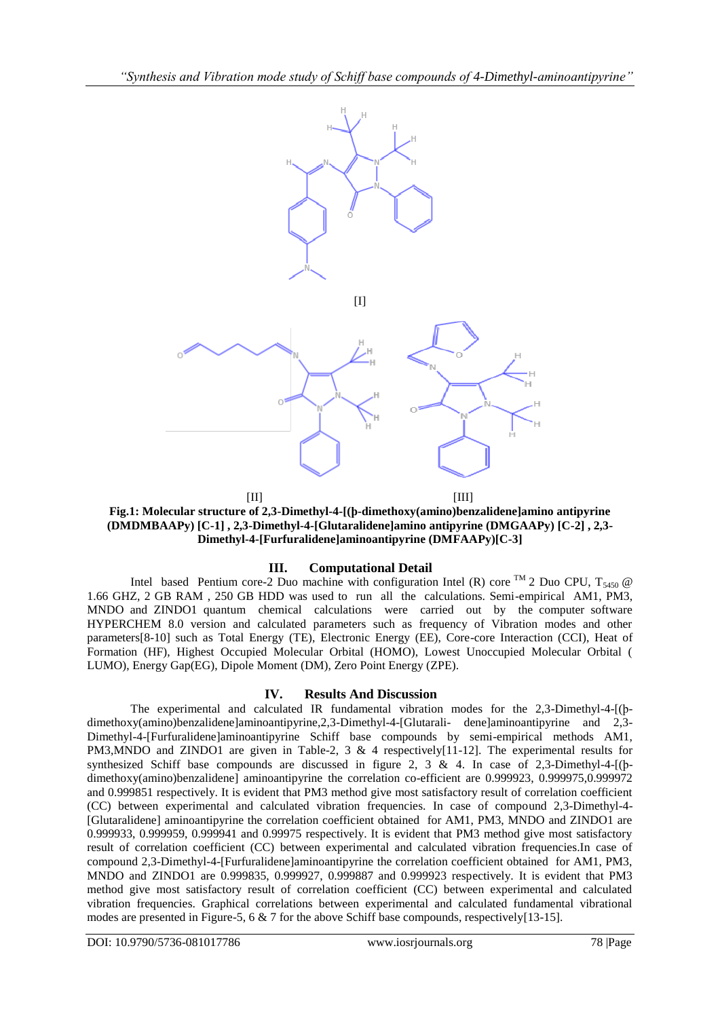

 $[III]$  [III] **Fig.1: Molecular structure of 2,3-Dimethyl-4-[(ϸ-dimethoxy(amino)benzalidene]amino antipyrine (DMDMBAAPy) [C-1] , 2,3-Dimethyl-4-[Glutaralidene]amino antipyrine (DMGAAPy) [C-2] , 2,3- Dimethyl-4-[Furfuralidene]aminoantipyrine (DMFAAPy)[C-3]**

## **III. Computational Detail**

Intel based Pentium core-2 Duo machine with configuration Intel (R) core <sup>TM</sup> 2 Duo CPU, T<sub>5450</sub> @ 1.66 GHZ, 2 GB RAM , 250 GB HDD was used to run all the calculations. Semi-empirical AM1, PM3, MNDO and ZINDO1 quantum chemical calculations were carried out by the computer software HYPERCHEM 8.0 version and calculated parameters such as frequency of Vibration modes and other parameters[8-10] such as Total Energy (TE), Electronic Energy (EE), Core-core Interaction (CCI), Heat of Formation (HF), Highest Occupied Molecular Orbital (HOMO), Lowest Unoccupied Molecular Orbital ( LUMO), Energy Gap(EG), Dipole Moment (DM), Zero Point Energy (ZPE).

### **IV. Results And Discussion**

The experimental and calculated IR fundamental vibration modes for the 2,3-Dimethyl-4-[(ϸdimethoxy(amino)benzalidene]aminoantipyrine,2,3-Dimethyl-4-[Glutarali- dene]aminoantipyrine and 2,3- Dimethyl-4-[Furfuralidene]aminoantipyrine Schiff base compounds by semi-empirical methods AM1, PM3, MNDO and ZINDO1 are given in Table-2, 3 & 4 respectively [11-12]. The experimental results for synthesized Schiff base compounds are discussed in figure 2, 3 & 4. In case of 2,3-Dimethyl-4-[(bdimethoxy(amino)benzalidene] aminoantipyrine the correlation co-efficient are 0.999923, 0.999975,0.999972 and 0.999851 respectively. It is evident that PM3 method give most satisfactory result of correlation coefficient (CC) between experimental and calculated vibration frequencies. In case of compound 2,3-Dimethyl-4- [Glutaralidene] aminoantipyrine the correlation coefficient obtained for AM1, PM3, MNDO and ZINDO1 are 0.999933, 0.999959, 0.999941 and 0.99975 respectively. It is evident that PM3 method give most satisfactory result of correlation coefficient (CC) between experimental and calculated vibration frequencies.In case of compound 2,3-Dimethyl-4-[Furfuralidene]aminoantipyrine the correlation coefficient obtained for AM1, PM3, MNDO and ZINDO1 are 0.999835, 0.999927, 0.999887 and 0.999923 respectively. It is evident that PM3 method give most satisfactory result of correlation coefficient (CC) between experimental and calculated vibration frequencies. Graphical correlations between experimental and calculated fundamental vibrational modes are presented in Figure-5, 6 & 7 for the above Schiff base compounds, respectively [13-15].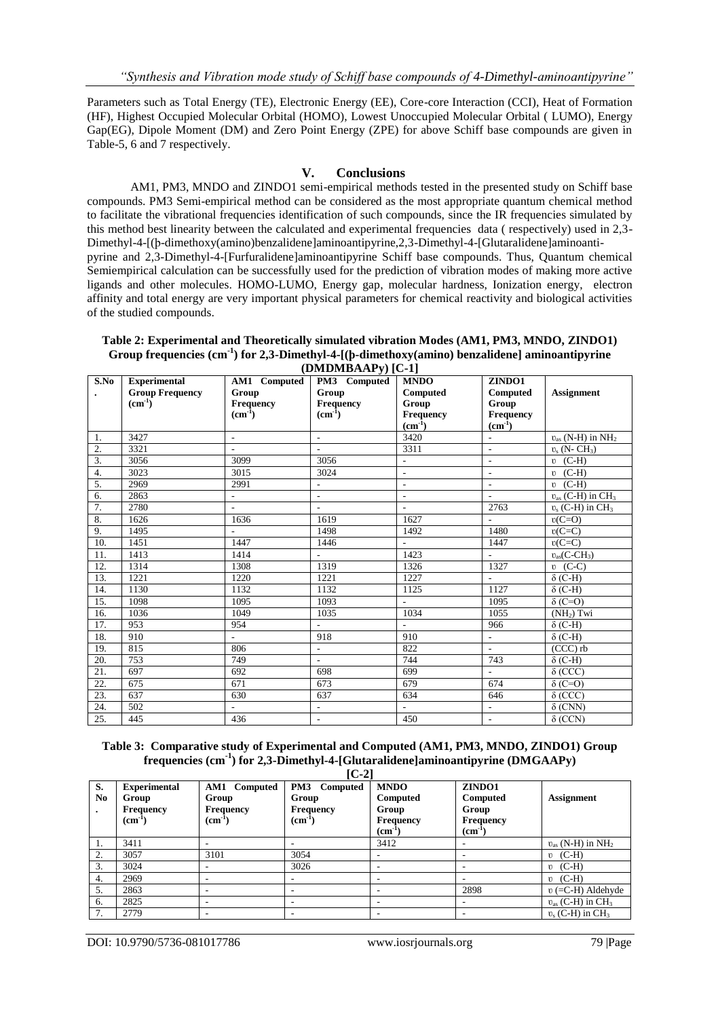Parameters such as Total Energy (TE), Electronic Energy (EE), Core-core Interaction (CCI), Heat of Formation (HF), Highest Occupied Molecular Orbital (HOMO), Lowest Unoccupied Molecular Orbital ( LUMO), Energy Gap(EG), Dipole Moment (DM) and Zero Point Energy (ZPE) for above Schiff base compounds are given in Table-5, 6 and 7 respectively.

### **V. Conclusions**

AM1, PM3, MNDO and ZINDO1 semi-empirical methods tested in the presented study on Schiff base compounds. PM3 Semi-empirical method can be considered as the most appropriate quantum chemical method to facilitate the vibrational frequencies identification of such compounds, since the IR frequencies simulated by this method best linearity between the calculated and experimental frequencies data ( respectively) used in 2,3- Dimethyl-4-[(ϸ-dimethoxy(amino)benzalidene]aminoantipyrine,2,3-Dimethyl-4-[Glutaralidene]aminoantipyrine and 2,3-Dimethyl-4-[Furfuralidene]aminoantipyrine Schiff base compounds. Thus, Quantum chemical Semiempirical calculation can be successfully used for the prediction of vibration modes of making more active ligands and other molecules. HOMO-LUMO, Energy gap, molecular hardness, Ionization energy, electron affinity and total energy are very important physical parameters for chemical reactivity and biological activities of the studied compounds.

#### **Table 2: Experimental and Theoretically simulated vibration Modes (AM1, PM3, MNDO, ZINDO1) Group frequencies (cm-1 ) for 2,3-Dimethyl-4-[(ϸ-dimethoxy(amino) benzalidene] aminoantipyrine (DMDMBAAPy) [C-1]**

| S.No | <b>Experimental</b>    | AM1 Computed             | $(\mathbf{D}\mathbf{M}\mathbf{D}\mathbf{M}\mathbf{D}\mathbf{A}\mathbf{A}\mathbf{I})$<br>PM3 Computed | <b>MNDO</b>                 | ZINDO1          |                                     |
|------|------------------------|--------------------------|------------------------------------------------------------------------------------------------------|-----------------------------|-----------------|-------------------------------------|
|      | <b>Group Frequency</b> | Group                    | Group                                                                                                | Computed                    | <b>Computed</b> | <b>Assignment</b>                   |
|      | $(cm-1)$               | Frequency                | Frequency                                                                                            | Group                       | Group           |                                     |
|      |                        | (cm <sup>1</sup> )       | $(cm-1)$                                                                                             | <b>Frequency</b>            | Frequency       |                                     |
|      |                        |                          |                                                                                                      | $(cm-1)$                    | $(cm-1)$        |                                     |
| 1.   | 3427                   | $\blacksquare$           | $\mathcal{L}_{\mathcal{A}}$                                                                          | 3420                        | ÷,              | $v_{as}$ (N-H) in $\overline{NH_2}$ |
| 2.   | 3321                   |                          |                                                                                                      | 3311                        | L.              | $v_s$ (N-CH <sub>3</sub> )          |
| 3.   | 3056                   | 3099                     | 3056                                                                                                 | $\overline{\phantom{0}}$    | ÷,              | $v$ (C-H)                           |
| 4.   | 3023                   | 3015                     | 3024                                                                                                 | $\blacksquare$              | ÷,              | $v$ (C-H)                           |
| 5.   | 2969                   | 2991                     | $\overline{\phantom{a}}$                                                                             | ÷,                          |                 | $\upsilon$ (C-H)                    |
| 6.   | 2863                   | $\overline{\phantom{0}}$ | $\overline{\phantom{a}}$                                                                             | $\overline{a}$              | $\overline{a}$  | $v_{as}$ (C-H) in $\overline{CH_3}$ |
| 7.   | 2780                   | $\overline{a}$           | ÷.                                                                                                   | ÷                           | 2763            | $v_s$ (C-H) in CH <sub>3</sub>      |
| 8.   | 1626                   | 1636                     | 1619                                                                                                 | 1627                        | ÷.              | $v(C=O)$                            |
| 9.   | 1495                   | L.                       | 1498                                                                                                 | 1492                        | 1480            | $v(C=C)$                            |
| 10.  | 1451                   | 1447                     | 1446                                                                                                 | $\mathcal{L}$               | 1447            | $v(C=C)$                            |
| 11.  | 1413                   | 1414                     |                                                                                                      | 1423                        | ÷.              | $v_{as}(C-CH_3)$                    |
| 12.  | 1314                   | 1308                     | 1319                                                                                                 | 1326                        | 1327            | $\upsilon$ (C-C)                    |
| 13.  | 1221                   | 1220                     | 1221                                                                                                 | 1227                        | $\sim$          | $\delta$ (C-H)                      |
| 14.  | 1130                   | 1132                     | 1132                                                                                                 | 1125                        | 1127            | $\delta$ (C-H)                      |
| 15.  | 1098                   | 1095                     | 1093                                                                                                 | ÷                           | 1095            | $\delta$ (C=O)                      |
| 16.  | 1036                   | 1049                     | 1035                                                                                                 | 1034                        | 1055            | $(NH2)$ Twi                         |
| 17.  | 953                    | 954                      | $\sim$                                                                                               | $\mathcal{L}_{\mathcal{A}}$ | 966             | $\delta$ (C-H)                      |
| 18.  | 910                    | $\overline{\phantom{a}}$ | 918                                                                                                  | 910                         | $\frac{1}{2}$   | $\delta$ (C-H)                      |
| 19.  | 815                    | 806                      | ÷.                                                                                                   | 822                         | ÷.              | $(CCC)$ rb                          |
| 20.  | 753                    | 749                      | $\overline{\phantom{a}}$                                                                             | 744                         | 743             | $\delta$ (C-H)                      |
| 21.  | 697                    | 692                      | 698                                                                                                  | 699                         | ÷.              | $\delta$ (CCC)                      |
| 22.  | 675                    | 671                      | 673                                                                                                  | 679                         | 674             | $\delta$ (C=O)                      |
| 23.  | 637                    | 630                      | 637                                                                                                  | 634                         | 646             | $\delta$ (CCC)                      |
| 24.  | 502                    |                          | $\overline{\phantom{a}}$                                                                             |                             | ÷,              | $\delta$ (CNN)                      |
| 25.  | 445                    | 436                      |                                                                                                      | 450                         |                 | $\delta$ (CCN)                      |

### **Table 3: Comparative study of Experimental and Computed (AM1, PM3, MNDO, ZINDO1) Group frequencies (cm-1 ) for 2,3-Dimethyl-4-[Glutaralidene]aminoantipyrine (DMGAAPy)**

|                | $[C-2]$                      |                              |                          |                           |                           |                                          |  |  |
|----------------|------------------------------|------------------------------|--------------------------|---------------------------|---------------------------|------------------------------------------|--|--|
| S.             | <b>Experimental</b>          | <b>AM1</b> Computed          | PM3 Computed             | <b>MNDO</b>               | ZINDO1                    |                                          |  |  |
| N <sub>0</sub> | Group                        | Group                        | Group                    | Computed                  | <b>Computed</b>           | <b>Assignment</b>                        |  |  |
|                | <b>Frequency</b><br>$(cm-1)$ | <b>Frequency</b><br>$(cm-1)$ | Frequency<br>$(cm-1)$    | Group<br><b>Frequency</b> | Group<br><b>Frequency</b> |                                          |  |  |
|                |                              |                              |                          | $\text{cm}^{-1}$          | $(cm-1$                   |                                          |  |  |
| 1.             | 3411                         |                              |                          | 3412                      |                           | $v_{\rm as}$ (N-H) in NH <sub>2</sub>    |  |  |
| 2.             | 3057                         | 3101                         | 3054                     |                           |                           | $\upsilon$ (C-H)                         |  |  |
| 3.             | 3024                         | ۰                            | 3026                     |                           |                           | $\mathfrak{v}$ (C-H)                     |  |  |
| 4.             | 2969                         | ۰                            |                          |                           |                           | $\upsilon$ (C-H)                         |  |  |
| 5.             | 2863                         | ۰                            |                          |                           | 2898                      | $v (= C-H)$ Aldehyde                     |  |  |
| 6.             | 2825                         | ۰                            | $\overline{\phantom{a}}$ |                           |                           | $v_{\text{as}}$ (C-H) in CH <sub>3</sub> |  |  |
| 7.             | 2779                         | ۰                            |                          |                           |                           | $v_s$ (C-H) in CH <sub>3</sub>           |  |  |

DOI: 10.9790/5736-081017786 www.iosrjournals.org 79 |Page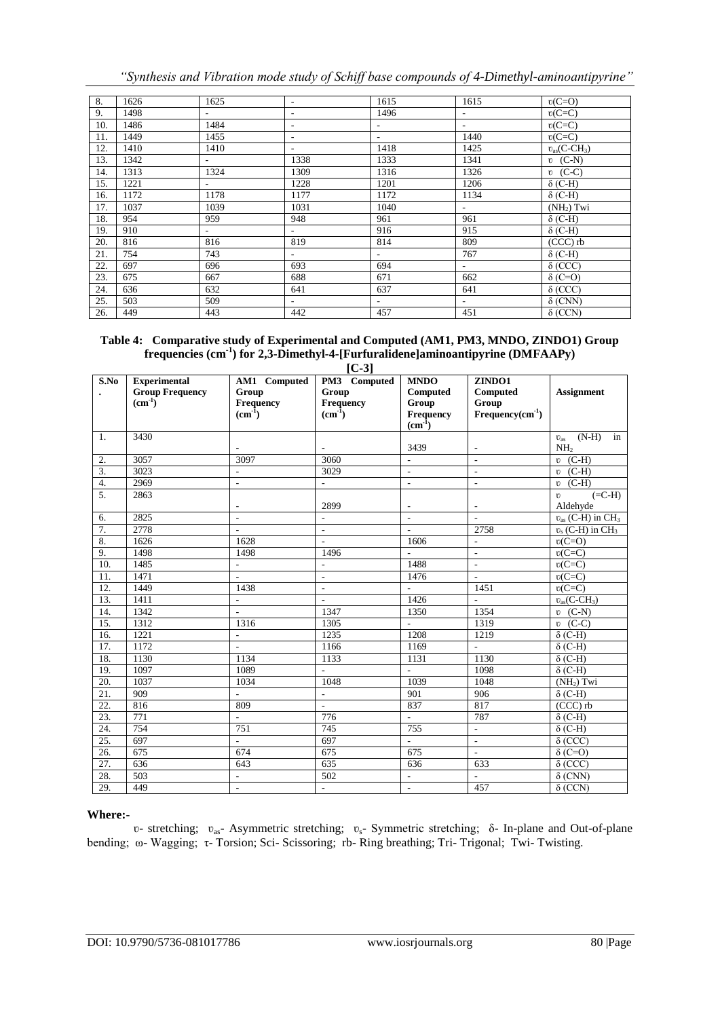*"Synthesis and Vibration mode study of Schiff base compounds of 4-Dimethyl-aminoantipyrine"*

| 8.  | 1626 | 1625                     | $\overline{\phantom{a}}$ | 1615   | 1615                     | $v(C=O)$         |
|-----|------|--------------------------|--------------------------|--------|--------------------------|------------------|
| 9.  | 1498 | $\overline{\phantom{a}}$ | $\overline{\phantom{a}}$ | 1496   | $\sim$                   | $v(C=C)$         |
| 10. | 1486 | 1484                     | $\overline{\phantom{a}}$ | $\sim$ | $\overline{\phantom{a}}$ | $v(C=C)$         |
| 11. | 1449 | 1455                     |                          | Ξ.     | 1440                     | $v(C=C)$         |
| 12. | 1410 | 1410                     |                          | 1418   | 1425                     | $v_{as}(C-CH_3)$ |
| 13. | 1342 | $\sim$                   | 1338                     | 1333   | 1341                     | $\upsilon$ (C-N) |
| 14. | 1313 | 1324                     | 1309                     | 1316   | 1326                     | $\upsilon$ (C-C) |
| 15. | 1221 | $\sim$                   | 1228                     | 1201   | 1206                     | $\delta$ (C-H)   |
| 16. | 1172 | 1178                     | 1177                     | 1172   | 1134                     | $\delta$ (C-H)   |
| 17. | 1037 | 1039                     | 1031                     | 1040   | $\sim$                   | $(NH2)$ Twi      |
| 18. | 954  | 959                      | 948                      | 961    | 961                      | $\delta$ (C-H)   |
| 19. | 910  | $\sim$                   | $\sim$                   | 916    | 915                      | $\delta$ (C-H)   |
| 20. | 816  | 816                      | 819                      | 814    | 809                      | $(CCC)$ rb       |
| 21. | 754  | 743                      | $\overline{\phantom{0}}$ | $\sim$ | 767                      | $\delta$ (C-H)   |
| 22. | 697  | 696                      | 693                      | 694    | $\sim$                   | $\delta$ (CCC)   |
| 23. | 675  | 667                      | 688                      | 671    | 662                      | $\delta$ (C=O)   |
| 24. | 636  | 632                      | 641                      | 637    | 641                      | $\delta$ (CCC)   |
| 25. | 503  | 509                      | $\overline{\phantom{0}}$ | $\sim$ | $\sim$                   | $\delta$ (CNN)   |
| 26. | 449  | 443                      | 442                      | 457    | 451                      | $\delta$ (CCN)   |

### **Table 4: Comparative study of Experimental and Computed (AM1, PM3, MNDO, ZINDO1) Group frequencies (cm-1 ) for 2,3-Dimethyl-4-[Furfuralidene]aminoantipyrine (DMFAAPy)**

| ۰. | ٠<br>× |  |
|----|--------|--|

| S.No              | <b>Experimental</b>    | AM1 Computed                | $\sim$ $\sim$ $\sim$ $\sim$<br>PM3 Computed | <b>MNDO</b>              | ZINDO1                   |                                   |
|-------------------|------------------------|-----------------------------|---------------------------------------------|--------------------------|--------------------------|-----------------------------------|
|                   | <b>Group Frequency</b> | Group                       | Group                                       | Computed                 | Computed                 | <b>Assignment</b>                 |
|                   | $(cm-1)$               | Frequency                   | Frequency                                   | Group                    | Group                    |                                   |
|                   |                        | $\text{cm}^{-1}$ )          | $(cm-1)$                                    | Frequency                | $Frequency(cm-1)$        |                                   |
|                   |                        |                             |                                             | $(cm-1)$                 |                          |                                   |
| 1.                | 3430                   |                             |                                             |                          |                          | $(N-H)$<br>in<br>$U_{\rm as}$     |
|                   |                        |                             | ÷.                                          | 3439                     |                          | NH <sub>2</sub>                   |
| 2.                | 3057                   | 3097                        | 3060                                        | ä,                       | $\sim$                   | $v$ (C-H)                         |
| $\overline{3}$ .  | 3023                   | $\omega$                    | 3029                                        | ä,                       | ÷,                       | $v$ (C-H)                         |
| $\overline{4}$ .  | 2969                   | $\mathcal{L}^{\mathcal{A}}$ | $\overline{\phantom{a}}$                    | $\sim$                   | $\overline{\phantom{a}}$ | $v$ (C-H)                         |
| $\overline{5}$ .  | 2863                   |                             |                                             |                          |                          | $(=C-H)$<br>U                     |
|                   |                        | $\overline{\phantom{a}}$    | 2899                                        | $\overline{\phantom{m}}$ | $\overline{\phantom{a}}$ | Aldehyde                          |
| 6.                | 2825                   | $\overline{\phantom{a}}$    | $\sim$                                      | $\overline{\phantom{a}}$ | $\overline{a}$           | $v_{as}$ (C-H) in CH <sub>3</sub> |
| 7.                | 2778                   | $\sim$                      | $\sim$                                      | $\overline{a}$           | 2758                     | $v_s$ (C-H) in CH <sub>3</sub>    |
| 8.                | 1626                   | 1628                        | $\overline{a}$                              | 1606                     | $\overline{\phantom{a}}$ | $v(C=O)$                          |
| 9.                | 1498                   | 1498                        | 1496                                        | $\frac{1}{2}$            | $\sim$                   | $v(C=C)$                          |
| 10.               | 1485                   | $\overline{\phantom{a}}$    | $\Box$                                      | 1488                     | $\Box$                   | $v(C=C)$                          |
| 11.               | 1471                   | $\overline{\phantom{a}}$    | $\overline{\phantom{a}}$                    | 1476                     | $\overline{\phantom{a}}$ | $v(C=C)$                          |
| 12.               | 1449                   | 1438                        | $\overline{\phantom{a}}$                    | $\blacksquare$           | 1451                     | $v(C=C)$                          |
| 13.               | 1411                   | $\omega$                    | $\overline{\phantom{a}}$                    | 1426                     | $\mathbf{r}$             | $v_{as}(C\overline{-CH_3})$       |
| 14.               | 1342                   | $\mathbf{r}$                | 1347                                        | 1350                     | 1354                     | $v$ (C-N)                         |
| 15.               | 1312                   | 1316                        | 1305                                        | $\omega$                 | 1319                     | $\overline{v}$ (C-C)              |
| 16.               | 1221                   | ÷.                          | 1235                                        | 1208                     | 1219                     | $\delta$ (C-H)                    |
| 17.               | 1172                   | $\mathbb{L}$                | 1166                                        | 1169                     | $\overline{\phantom{a}}$ | $\delta$ (C-H)                    |
| $\overline{18}$ . | 1130                   | 1134                        | 1133                                        | 1131                     | 1130                     | $\delta$ (C-H)                    |
| 19.               | 1097                   | 1089                        | $\sim$                                      | ä,                       | 1098                     | $\delta$ (C-H)                    |
| 20.               | 1037                   | 1034                        | 1048                                        | 1039                     | 1048                     | (NH <sub>2</sub> ) Twi            |
| 21.               | 909                    | $\sim$                      | $\bar{\phantom{a}}$                         | 901                      | 906                      | $\delta$ (C-H)                    |
| $\overline{22}$ . | 816                    | 809                         | $\Box$                                      | 837                      | 817                      | $(CCC)$ rb                        |
| 23.               | 771                    | $\overline{\phantom{a}}$    | 776                                         | $\omega$                 | 787                      | $\delta$ (C-H)                    |
| 24.               | 754                    | 751                         | 745                                         | 755                      | $\overline{\phantom{a}}$ | $\delta$ (C-H)                    |
| $\overline{25}$ . | 697                    | $\mathcal{L}_{\mathcal{A}}$ | 697                                         | $\mathcal{L}^{\pm}$      | $\sim$                   | $\delta$ (CCC)                    |
| 26.               | 675                    | 674                         | 675                                         | 675                      | $\sim$                   | $\delta$ (C=O)                    |
| 27.               | 636                    | 643                         | 635                                         | 636                      | 633                      | $\delta$ (CCC)                    |
| 28.               | 503                    | $\blacksquare$              | 502                                         | $\Box$                   | ÷.                       | $\delta$ (CNN)                    |
| 29.               | 449                    |                             | $\overline{\phantom{a}}$                    | $\mathbb{Z}^2$           | 457                      | $\delta$ (CCN)                    |

### **Where:-**

ʋ- stretching; ʋas- Asymmetric stretching; ʋs- Symmetric stretching; δ- In-plane and Out-of-plane bending; ω- Wagging; τ- Torsion; Sci- Scissoring; rb- Ring breathing; Tri- Trigonal; Twi- Twisting.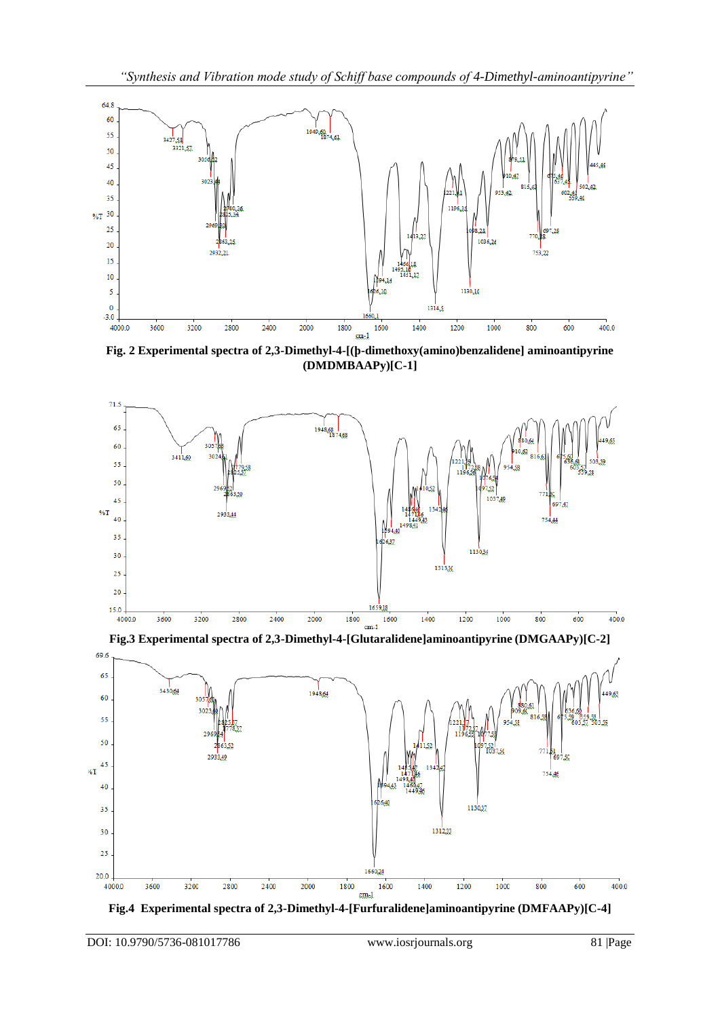

**Fig. 2 Experimental spectra of 2,3-Dimethyl-4-[(ϸ-dimethoxy(amino)benzalidene] aminoantipyrine (DMDMBAAPy)[C-1]**



**Fig.3 Experimental spectra of 2,3-Dimethyl-4-[Glutaralidene]aminoantipyrine (DMGAAPy)[C-2]**



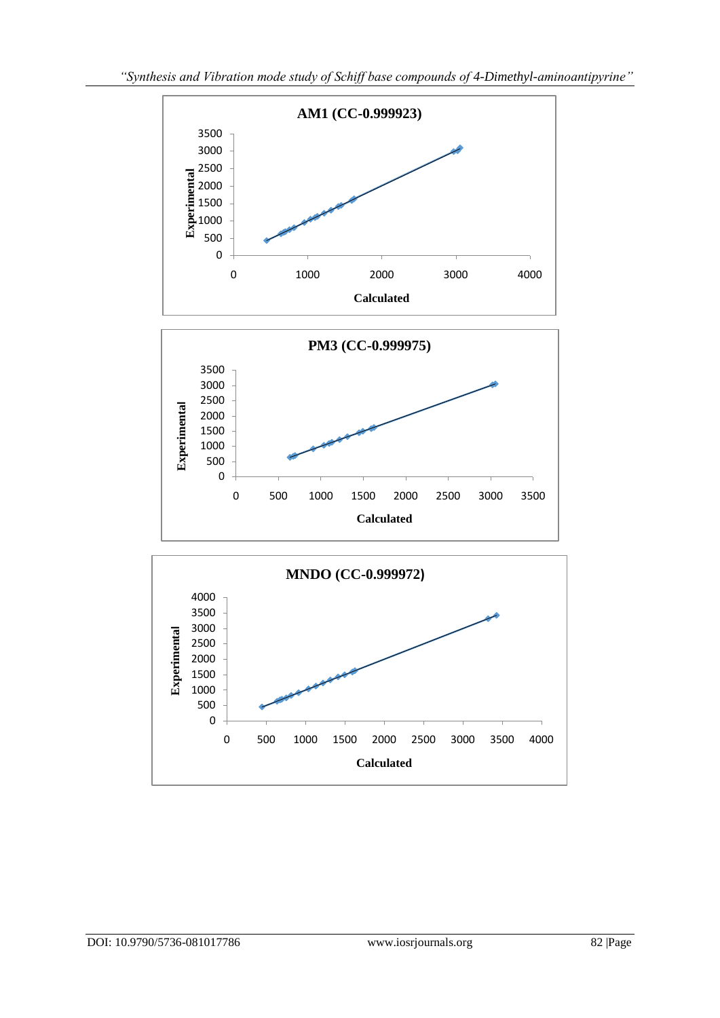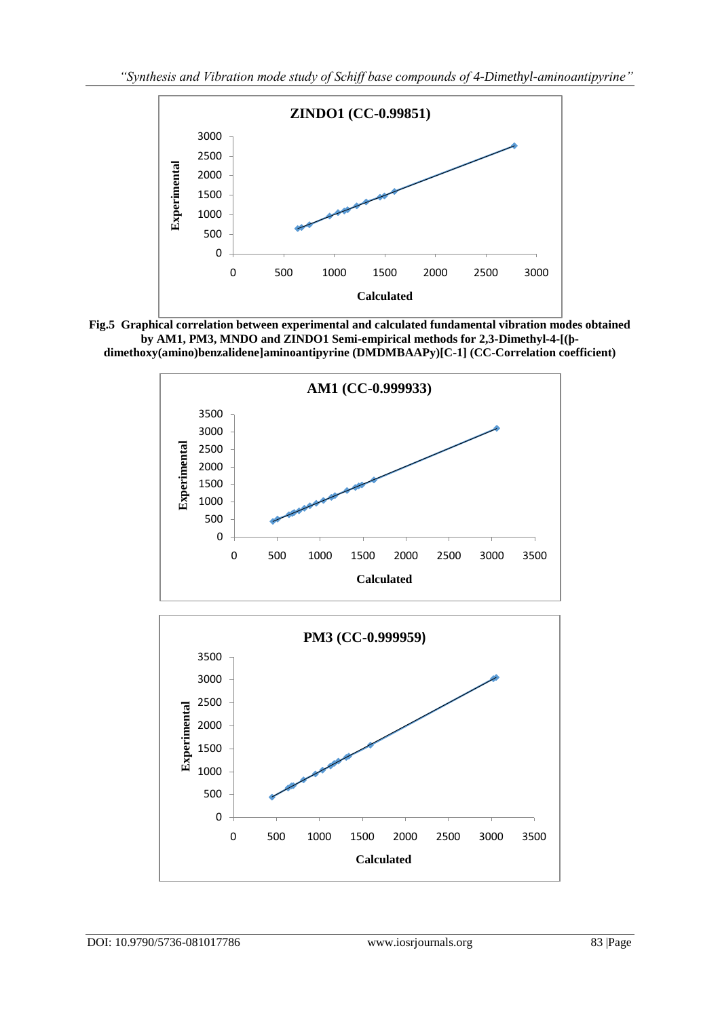

**Fig.5 Graphical correlation between experimental and calculated fundamental vibration modes obtained by AM1, PM3, MNDO and ZINDO1 Semi-empirical methods for 2,3-Dimethyl-4-[(ϸdimethoxy(amino)benzalidene]aminoantipyrine (DMDMBAAPy)[C-1] (CC-Correlation coefficient)**

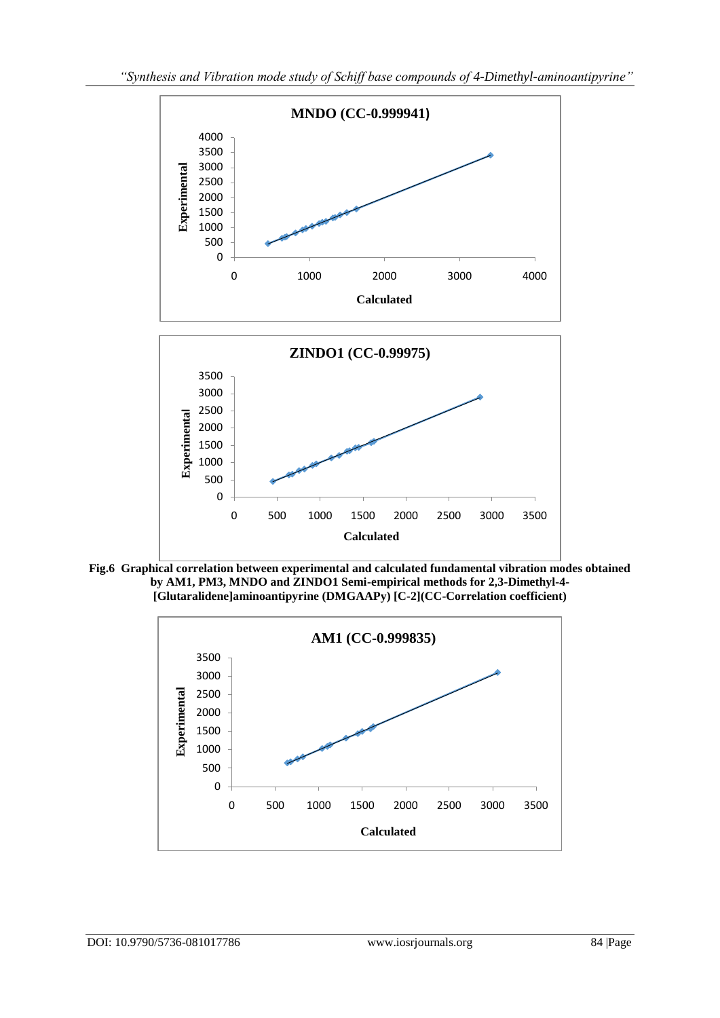

**Fig.6 Graphical correlation between experimental and calculated fundamental vibration modes obtained by AM1, PM3, MNDO and ZINDO1 Semi-empirical methods for 2,3-Dimethyl-4- [Glutaralidene]aminoantipyrine (DMGAAPy) [C-2](CC-Correlation coefficient)**

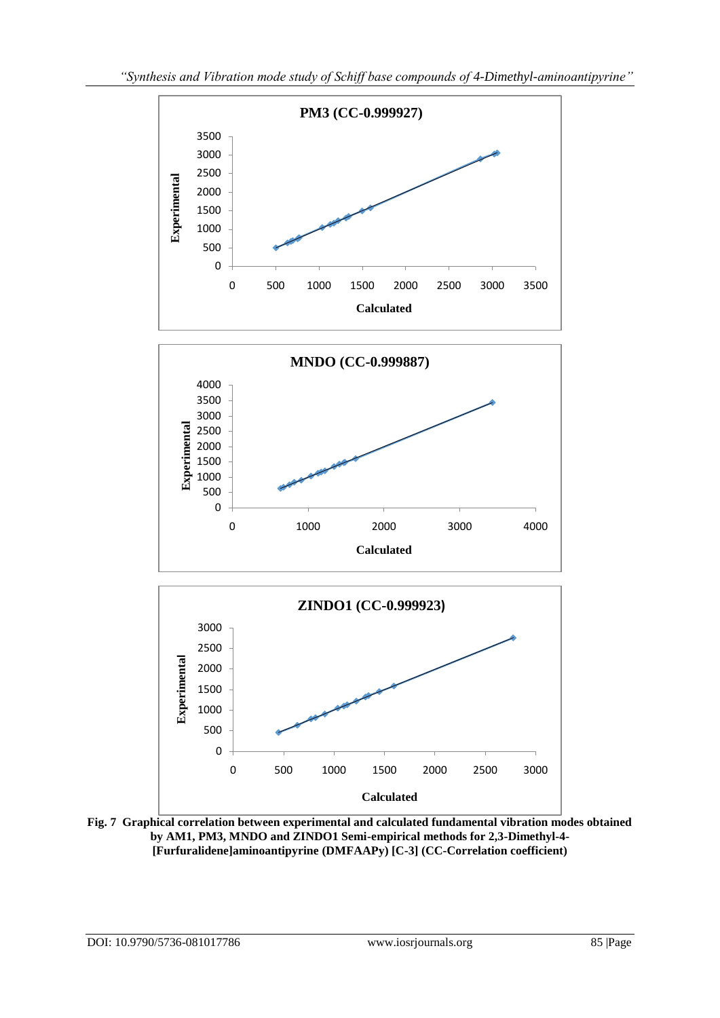

**Fig. 7 Graphical correlation between experimental and calculated fundamental vibration modes obtained by AM1, PM3, MNDO and ZINDO1 Semi-empirical methods for 2,3-Dimethyl-4- [Furfuralidene]aminoantipyrine (DMFAAPy) [C-3] (CC-Correlation coefficient)**